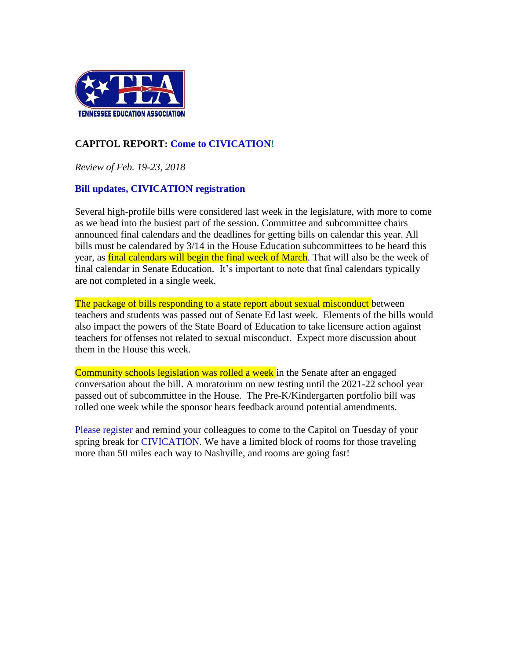

# **CAPITOL REPORT: Come to [CIVICATION!](http://www.teateachers.org/tea-civication-registration)**

*Review of Feb. 19-23, 2018*

### **Bill updates, CIVICATION registration**

Several high-profile bills were considered last week in the legislature, with more to come as we head into the busiest part of the session. Committee and subcommittee chairs announced final calendars and the deadlines for getting bills on calendar this year. All bills must be calendared by 3/14 in the House Education subcommittees to be heard this year, as final calendars will begin the final week of March. That will also be the week of final calendar in Senate Education. It's important to note that final calendars typically are not completed in a single week.

The package of bills responding to a state report about sexual misconduct between teachers and students was passed out of Senate Ed last week. Elements of the bills would also impact the powers of the State Board of Education to take licensure action against teachers for offenses not related to sexual misconduct. Expect more discussion about them in the House this week.

Community schools legislation was rolled a week in the Senate after an engaged conversation about the bill. A moratorium on new testing until the 2021-22 school year passed out of subcommittee in the House. The Pre-K/Kindergarten portfolio bill was rolled one week while the sponsor hears feedback around potential amendments.

[Please register](http://www.teateachers.org/tea-civication-registration) and remind your colleagues to come to the Capitol on Tuesday of your spring break for [CIVICATION.](http://www.teateachers.org/event/civication) We have a limited block of rooms for those traveling more than 50 miles each way to Nashville, and rooms are going fast!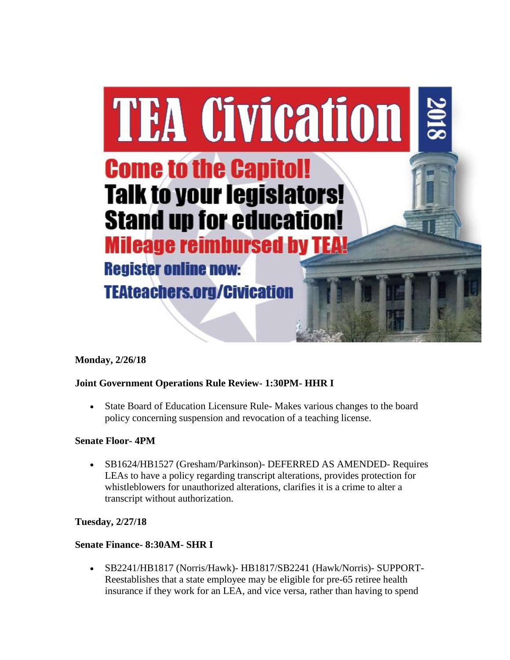

# **Monday, 2/26/18**

# **Joint Government Operations Rule Review- 1:30PM- HHR I**

• State Board of Education Licensure Rule- Makes various changes to the board policy concerning suspension and revocation of a teaching license.

#### **Senate Floor- 4PM**

• SB1624/HB1527 (Gresham/Parkinson)- DEFERRED AS AMENDED- Requires LEAs to have a policy regarding transcript alterations, provides protection for whistleblowers for unauthorized alterations, clarifies it is a crime to alter a transcript without authorization.

#### **Tuesday, 2/27/18**

#### **Senate Finance- 8:30AM- SHR I**

• SB2241/HB1817 (Norris/Hawk)- HB1817/SB2241 (Hawk/Norris)- SUPPORT-Reestablishes that a state employee may be eligible for pre-65 retiree health insurance if they work for an LEA, and vice versa, rather than having to spend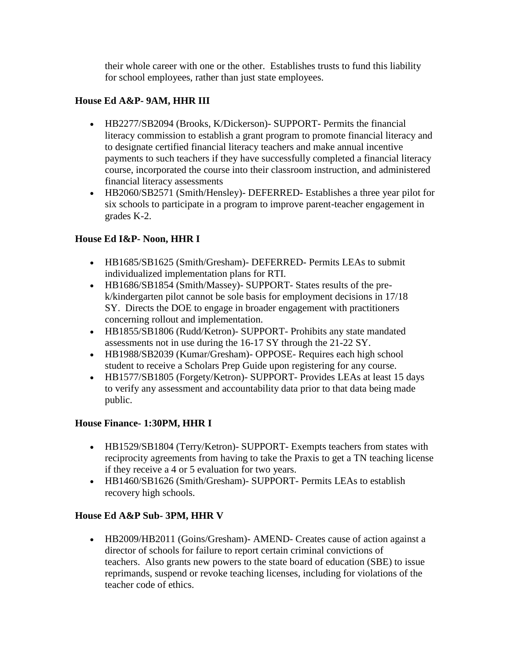their whole career with one or the other. Establishes trusts to fund this liability for school employees, rather than just state employees.

# **House Ed A&P- 9AM, HHR III**

- HB2277/SB2094 (Brooks, K/Dickerson)- SUPPORT- Permits the financial literacy commission to establish a grant program to promote financial literacy and to designate certified financial literacy teachers and make annual incentive payments to such teachers if they have successfully completed a financial literacy course, incorporated the course into their classroom instruction, and administered financial literacy assessments
- HB2060/SB2571 (Smith/Hensley)- DEFERRED- Establishes a three year pilot for six schools to participate in a program to improve parent-teacher engagement in grades K-2.

# **House Ed I&P- Noon, HHR I**

- HB1685/SB1625 (Smith/Gresham)- DEFERRED- Permits LEAs to submit individualized implementation plans for RTI.
- HB1686/SB1854 (Smith/Massey)- SUPPORT- States results of the prek/kindergarten pilot cannot be sole basis for employment decisions in 17/18 SY. Directs the DOE to engage in broader engagement with practitioners concerning rollout and implementation.
- HB1855/SB1806 (Rudd/Ketron)- SUPPORT- Prohibits any state mandated assessments not in use during the 16-17 SY through the 21-22 SY.
- HB1988/SB2039 (Kumar/Gresham)- OPPOSE- Requires each high school student to receive a Scholars Prep Guide upon registering for any course.
- HB1577/SB1805 (Forgety/Ketron)- SUPPORT- Provides LEAs at least 15 days to verify any assessment and accountability data prior to that data being made public.

# **House Finance- 1:30PM, HHR I**

- HB1529/SB1804 (Terry/Ketron) SUPPORT Exempts teachers from states with reciprocity agreements from having to take the Praxis to get a TN teaching license if they receive a 4 or 5 evaluation for two years.
- HB1460/SB1626 (Smith/Gresham) SUPPORT- Permits LEAs to establish recovery high schools.

# **House Ed A&P Sub- 3PM, HHR V**

• HB2009/HB2011 (Goins/Gresham) - AMEND - Creates cause of action against a director of schools for failure to report certain criminal convictions of teachers. Also grants new powers to the state board of education (SBE) to issue reprimands, suspend or revoke teaching licenses, including for violations of the teacher code of ethics.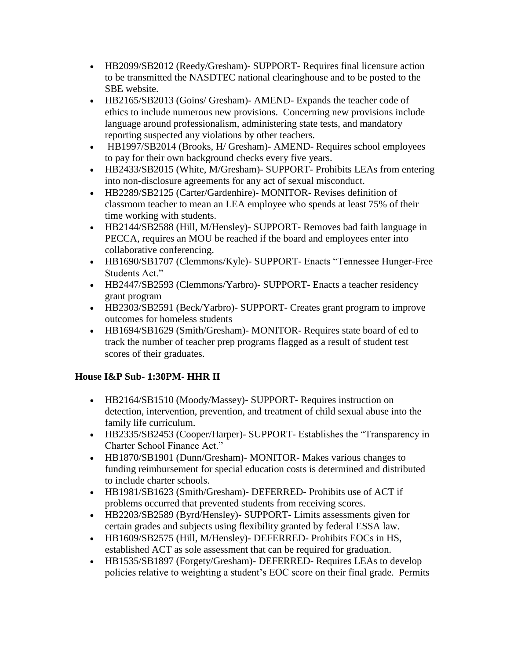- HB2099/SB2012 (Reedy/Gresham)- SUPPORT- Requires final licensure action to be transmitted the NASDTEC national clearinghouse and to be posted to the SBE website.
- HB2165/SB2013 (Goins/ Gresham) AMEND Expands the teacher code of ethics to include numerous new provisions. Concerning new provisions include language around professionalism, administering state tests, and mandatory reporting suspected any violations by other teachers.
- HB1997/SB2014 (Brooks, H/ Gresham)- AMEND- Requires school employees to pay for their own background checks every five years.
- HB2433/SB2015 (White, M/Gresham)- SUPPORT- Prohibits LEAs from entering into non-disclosure agreements for any act of sexual misconduct.
- HB2289/SB2125 (Carter/Gardenhire)- MONITOR- Revises definition of classroom teacher to mean an LEA employee who spends at least 75% of their time working with students.
- HB2144/SB2588 (Hill, M/Hensley) SUPPORT- Removes bad faith language in PECCA, requires an MOU be reached if the board and employees enter into collaborative conferencing.
- HB1690/SB1707 (Clemmons/Kyle)- SUPPORT- Enacts "Tennessee Hunger-Free Students Act."
- HB2447/SB2593 (Clemmons/Yarbro)- SUPPORT- Enacts a teacher residency grant program
- HB2303/SB2591 (Beck/Yarbro)- SUPPORT- Creates grant program to improve outcomes for homeless students
- HB1694/SB1629 (Smith/Gresham) MONITOR Requires state board of ed to track the number of teacher prep programs flagged as a result of student test scores of their graduates.

# **House I&P Sub- 1:30PM- HHR II**

- HB2164/SB1510 (Moody/Massey)- SUPPORT- Requires instruction on detection, intervention, prevention, and treatment of child sexual abuse into the family life curriculum.
- HB2335/SB2453 (Cooper/Harper)- SUPPORT- Establishes the "Transparency in Charter School Finance Act."
- HB1870/SB1901 (Dunn/Gresham)- MONITOR- Makes various changes to funding reimbursement for special education costs is determined and distributed to include charter schools.
- HB1981/SB1623 (Smith/Gresham)- DEFERRED- Prohibits use of ACT if problems occurred that prevented students from receiving scores.
- HB2203/SB2589 (Byrd/Hensley)- SUPPORT- Limits assessments given for certain grades and subjects using flexibility granted by federal ESSA law.
- HB1609/SB2575 (Hill, M/Hensley)- DEFERRED- Prohibits EOCs in HS, established ACT as sole assessment that can be required for graduation.
- HB1535/SB1897 (Forgety/Gresham)- DEFERRED- Requires LEAs to develop policies relative to weighting a student's EOC score on their final grade. Permits